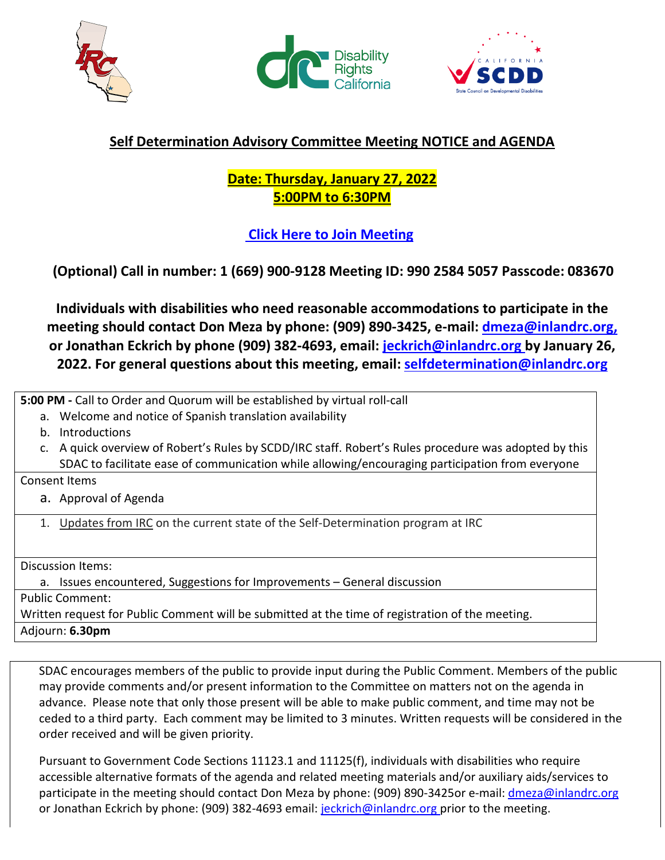





## **Self Determination Advisory Committee Meeting NOTICE and AGENDA**

## **Date: Thursday, January 27, 2022 5:00PM to 6:30PM**

## **[Click Here to Join Meeting](https://inlandrc-org.zoom.us/j/99025845057?pwd=Vm1jSkM4N1F5QXltV0g2cjJMeDR1QT09)**

 **(Optional) Call in number: 1 (669) 900-9128 Meeting ID: 990 2584 5057 Passcode: 083670** 

**Individuals with disabilities who need reasonable accommodations to participate in the meeting should contact Don Meza by phone: (909) 890-3425, e-mail: [dmeza@inlandrc.org,](mailto:dmeza@inlandrc.org) or Jonathan Eckrich by phone (909) 382-4693, email: [jeckrich@inlandrc.org b](mailto:jeckrich@inlandrc.org)y January 26, 2022. For general questions about this meeting, email: [selfdetermination@inlandrc.org](mailto:selfdetermination@inlandrc.org)**

**5:00 PM -** Call to Order and Quorum will be established by virtual roll-call

- a. Welcome and notice of Spanish translation availability
- b. Introductions
- c. A quick overview of Robert's Rules by SCDD/IRC staff. Robert's Rules procedure was adopted by this SDAC to facilitate ease of communication while allowing/encouraging participation from everyone

Consent Items

- a. Approval of Agenda
- 1. Updates from IRC on the current state of the Self-Determination program at IRC

Discussion Items:

a. Issues encountered, Suggestions for Improvements – General discussion Public Comment: Written request for Public Comment will be submitted at the time of registration of the meeting. Adjourn: **6.30pm**

SDAC encourages members of the public to provide input during the Public Comment. Members of the public may provide comments and/or present information to the Committee on matters not on the agenda in advance. Please note that only those present will be able to make public comment, and time may not be ceded to a third party. Each comment may be limited to 3 minutes. Written requests will be considered in the order received and will be given priority.

Pursuant to Government Code Sections 11123.1 and 11125(f), individuals with disabilities who require accessible alternative formats of the agenda and related meeting materials and/or auxiliary aids/services to participate in the meeting should contact Don Meza by phone: (909) 890-3425or e-mail: [dmeza@inlandrc.org](mailto:dmeza@inlandrc.org) or Jonathan Eckrich by phone: (909) 382-4693 email: [jeckrich@inlandrc.org p](mailto:jeckrich@inlandrc.org)rior to the meeting.